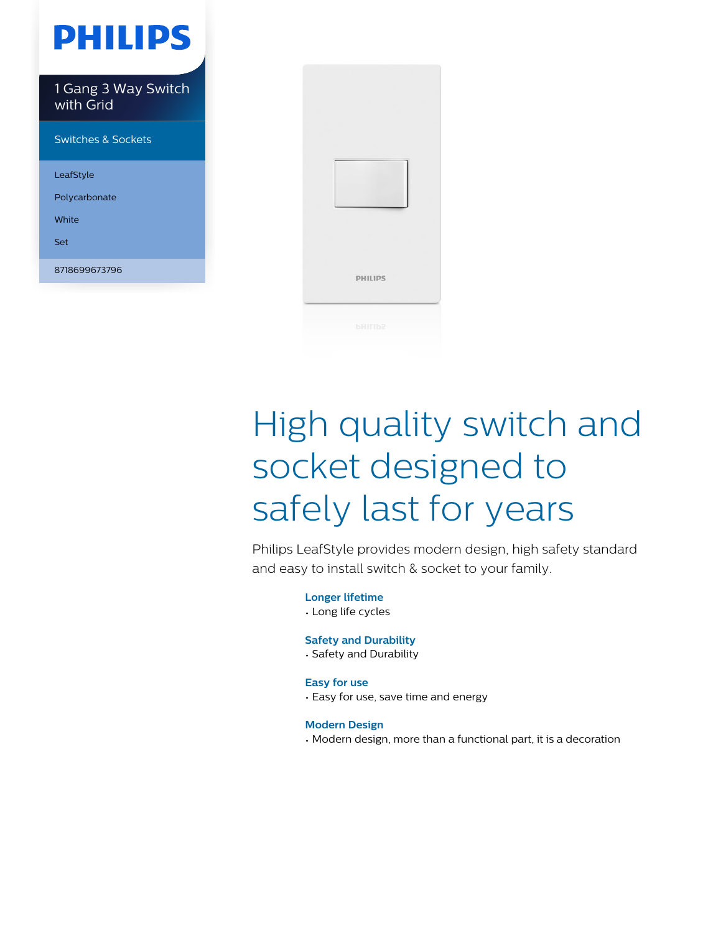## **PHILIPS**

1 Gang 3 Way Switch with Grid

Switches & Sockets

LeafStyle

Polycarbonate

White

Set

8718699673796



# High quality switch and socket designed to safely last for years

Philips LeafStyle provides modern design, high safety standard and easy to install switch & socket to your family.

> **Longer lifetime** • Long life cycles

#### **Safety and Durability**

• Safety and Durability

#### **Easy for use**

• Easy for use, save time and energy

#### **Modern Design**

• Modern design, more than a functional part, it is a decoration